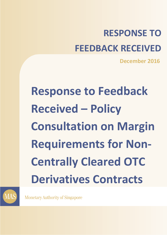# **RESPONSE TO FEEDBACK RECEIVED**

**December 2016**

# **Response to Feedback Received – Policy Consultation on Margin Requirements for Non-Centrally Cleared OTC Derivatives Contracts**



**Monetary Authority of Singapore**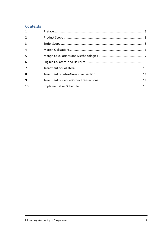# **Contents**

| $\mathbf{1}$   |  |
|----------------|--|
| $\overline{2}$ |  |
| 3              |  |
| $\overline{4}$ |  |
| 5              |  |
| 6              |  |
| $\overline{7}$ |  |
| 8              |  |
| 9              |  |
| 10             |  |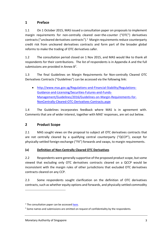# <span id="page-2-0"></span>**1 Preface**

1.1 On 1 October 2015, MAS issued a consultation paper on proposals to implement margin requirements for non-centrally cleared over-the-counter ("OTC") derivatives contracts ("uncleared derivatives contracts").<sup>1</sup> Margin requirements reduce counterparty credit risk from uncleared derivatives contracts and form part of the broader global reforms to make the trading of OTC derivatives safer.

1.2 The consultation period closed on 1 Nov 2015, and MAS would like to thank all respondents for their contributions. The list of respondents is in Appendix A and the full submissions are provided in Annex  $B^2$ .

1.3 The final Guidelines on Margin Requirements for Non-centrally Cleared OTC Derivatives Contracts ("Guidelines") can be accessed via the following link:

 [http://www.mas.gov.sg/Regulations-and-Financial-Stability/Regulations-](http://www.mas.gov.sg/Regulations-and-Financial-Stability/Regulations-Guidance-and-Licensing/Securities-Futures-and-Funds-Management/Guidelines/2016/Guidelines-on-Margin-Requirements-for-NonCentrally-Cleared-OTC-Derivatives-Contracts.aspx)[Guidance-and-Licensing/Securities-Futures-and-Funds-](http://www.mas.gov.sg/Regulations-and-Financial-Stability/Regulations-Guidance-and-Licensing/Securities-Futures-and-Funds-Management/Guidelines/2016/Guidelines-on-Margin-Requirements-for-NonCentrally-Cleared-OTC-Derivatives-Contracts.aspx)[Management/Guidelines/2016/Guidelines-on-Margin-Requirements-for-](http://www.mas.gov.sg/Regulations-and-Financial-Stability/Regulations-Guidance-and-Licensing/Securities-Futures-and-Funds-Management/Guidelines/2016/Guidelines-on-Margin-Requirements-for-NonCentrally-Cleared-OTC-Derivatives-Contracts.aspx)[NonCentrally-Cleared-OTC-Derivatives-Contracts.aspx](http://www.mas.gov.sg/Regulations-and-Financial-Stability/Regulations-Guidance-and-Licensing/Securities-Futures-and-Funds-Management/Guidelines/2016/Guidelines-on-Margin-Requirements-for-NonCentrally-Cleared-OTC-Derivatives-Contracts.aspx)

1.4 The Guidelines incorporates feedback where MAS is in agreement with. Comments that are of wider interest, together with MAS' responses, are set out below.

# <span id="page-2-1"></span>**2 Product Scope**

2.1 MAS sought views on the proposal to subject all OTC derivatives contracts that are not centrally cleared by a qualifying central counterparty ("QCCP"), except for physically-settled foreign-exchange ("FX") forwards and swaps, to margin requirements.

#### **(a) Definition of Non-Centrally Cleared OTC Derivatives**

2.2 Respondents were generally supportive of the proposed product scope, but some viewed that excluding only OTC derivatives contracts cleared on a QCCP would be inconsistent with the margin rules of other jurisdictions that excluded OTC derivatives contracts cleared on any CCP.

2.3 Some respondents sought clarification on the definition of OTC derivatives contracts, such as whether equity options and forwards, and physically settled commodity

 $\overline{a}$ 

 $1$  The consultation paper can be accesse[d here.](http://www.mas.gov.sg/~/media/MAS/News%20and%20Publications/Consultation%20Papers/Policy%20Consultation%20on%20Margin%20Requirements%20for%20NonCentrally%20Cleared%20OTC%20Derivatives%201Oct.pdf)

 $2$  Some names and submissions are omitted on request of confidentiality by the respondents.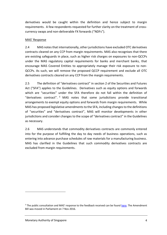derivatives would be caught within the definition and hence subject to margin requirements. A few respondents requested for further clarity on the treatment of crosscurrency swaps and non-deliverable FX forwards ("NDFs").

#### MAS' Response

2.4 MAS notes that internationally, other jurisdictions have excluded OTC derivatives contracts cleared on any CCP from margin requirements. MAS also recognises that there are existing safeguards in place, such as higher risk charges on exposures to non-QCCPs under the MAS regulatory capital requirements for banks and merchant banks, that encourage MAS Covered Entities to appropriately manage their risk exposure to non-QCCPs. As such, we will remove the proposed QCCP requirement and exclude all OTC derivatives contracts cleared on any CCP from the margin requirements.

2.5 The definition of "derivatives contract" in section 2 of the Securities and Futures Act ("SFA") applies to the Guidelines. Derivatives such as equity options and forwards which are "securities" under the SFA therefore do not fall within the definition of "derivatives contract". <sup>3</sup> MAS notes that some jurisdictions provide transitional arrangements to exempt equity options and forwards from margin requirements. While MAS has proposed legislative amendments to the SFA, including changes to the definitions of "securities" and "derivatives contract", MAS will monitor developments in other jurisdictions and consider changes to the scope of "derivatives contract" in the Guidelines as necessary.

2.6 MAS understands that commodity derivatives contracts are commonly entered into for the purpose of fulfilling the day to day needs of business operations, such as entering into advance purchase schedules of raw materials for a manufacturing business. MAS has clarified in the Guidelines that such commodity derivatives contracts are excluded from margin requirements.

 $\overline{a}$ 

 $3$  The public consultation and MAS' response to the feedback received can be found [here.](http://www.mas.gov.sg/News-and-Publications/Consultation-Paper/2015/Consultation-Paper-on-Proposed-Amendments-to-the-SFA.aspx) The Amendment Bill was moved in Parliament on 7 Nov 2016.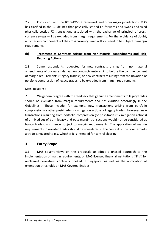2.7 Consistent with the BCBS-IOSCO framework and other major jurisdictions, MAS has clarified in the Guidelines that physically settled FX forwards and swaps and fixed physically settled FX transactions associated with the exchange of principal of crosscurrency swaps will be excluded from margin requirements. For the avoidance of doubt, all other risk components of the cross currency swap will still need to be subject to margin requirements.

# **(b) Treatment of Contracts Arising from Non-Material Amendments and Risk-Reducing Actions**

2.8 Some respondents requested for new contracts arising from non-material amendments of uncleared derivatives contracts entered into before the commencement of margin requirements ("legacy trades") or new contracts resulting from the novation or portfolio compression of legacy trades to be excluded from margin requirements.

#### MAS' Response

2.9 We generally agree with the feedback that genuine amendments to legacy trades should be excluded from margin requirements and has clarified accordingly in the Guidelines. These include, for example, new transactions arising from portfolio compression (or other post-trade risk mitigation actions) of legacy trades. However, new transactions resulting from portfolio compression (or post-trade risk mitigation actions) of a mixed set of both legacy and post-margin transactions would not be considered as legacy trades, and hence subject to margin requirements. The application of margin requirements to novated trades should be considered in the context of the counterparty a trade is novated to e.g. whether it is intended for central clearing.

# <span id="page-4-0"></span>**3 Entity Scope**

3.1 MAS sought views on the proposals to adopt a phased approach to the implementation of margin requirements, on MAS licensed financial institutions ("FIs") for uncleared derivatives contracts booked in Singapore, as well as the application of exemption thresholds on MAS Covered Entities.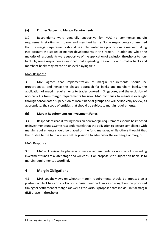# **(a) Entities Subject to Margin Requirements**

3.2 Respondents were generally supportive for MAS to commence margin requirements starting with banks and merchant banks. Some respondents commented that the margin requirements should be implemented in a proportionate manner, taking into account the stages of market developments in this region. In addition, while the majority of respondents were supportive of the application of exclusion thresholds to nonbank FIs, some respondents cautioned that expanding the exclusion to smaller banks and merchant banks may create an unlevel playing field.

#### MAS' Response

3.3 MAS agrees that implementation of margin requirements should be proportionate, and hence the phased approach for banks and merchant banks, the application of margin requirements to trades booked in Singapore, and the exclusion of non-bank FIs from margin requirements for now. MAS continues to maintain oversight through consolidated supervision of local financial groups and will periodically review, as appropriate, the scope of entities that should be subject to margin requirements.

# **(b) Margin Requirements on Investment Funds**

3.4 Respondents had differing views on how margin requirements should be imposed on investment funds. Some respondents felt that the obligation to ensure compliance with margin requirements should be placed on the fund manager, while others thought that the trustee to the fund was in a better position to administer the exchange of margins.

# MAS' Response

3.5 MAS will review the phase-in of margin requirements for non-bank FIs including investment funds at a later stage and will consult on proposals to subject non-bank FIs to margin requirements accordingly.

# <span id="page-5-0"></span>**4 Margin Obligations**

4.1 MAS sought views on whether margin requirements should be imposed on a post-and-collect basis or a collect-only basis. Feedback was also sought on the proposed timing for settlement of margins as well as the various proposed thresholds – initial margin (IM) phase-in thresholds.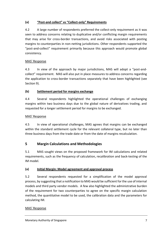# **(a) "Post-and collect" vs "Collect-only" Requirements**

4.2 A large number of respondents preferred the collect-only requirement as it was seen to address concerns relating to duplicative and/or conflicting margin requirements that may arise for cross-border transactions, and avoid risks associated with posting margins to counterparties in non-netting jurisdictions. Other respondents supported the "post-and-collect" requirement primarily because this approach would promote global consistency.

#### MAS' Response

4.3 In view of the approach by major jurisdictions, MAS will adopt a "post-andcollect" requirement. MAS will also put in place measures to address concerns regarding the application to cross-border transactions separately that have been highlighted (see Section 9).

#### **(b) Settlement period for margins exchange**

4.4 Several respondents highlighted the operational challenges of exchanging margins within two business days due to the global nature of derivatives trading, and requested for a longer settlement period for margins to be exchanged.

#### MAS' Response

4.5 In view of operational challenges, MAS agrees that margins can be exchanged within the standard settlement cycle for the relevant collateral type, but no later than three business days from the trade date or from the date of margins recalculation.

# <span id="page-6-0"></span>**5 Margin Calculations and Methodologies**

5.1 MAS sought views on the proposed framework for IM calculations and related requirements, such as the frequency of calculation, recalibration and back-testing of the IM model.

#### **(a) Initial Margin: Model agreement and approval process**

5.2 Several respondents requested for a simplification of the model approval process, by suggesting that a notification to MAS would be sufficient for the use of internal models and third party vendor models. A few also highlighted the administrative burden of the requirement for two counterparties to agree on the specific margin calculation method, the quantitative model to be used, the calibration data and the parameters for calculating IM.

#### MAS' Response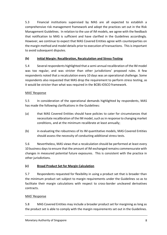5.3 Financial institutions supervised by MAS are all expected to establish a comprehensive risk management framework and adopt the practices set out in the Risk Management Guidelines. In relation to the use of IM models, we agree with the feedback that notification to MAS is sufficient and have clarified in the Guidelines accordingly. However, we continue to expect that MAS Covered Entities agree with counterparties on the margin method and model details prior to execution of transactions. This is important to avoid subsequent disputes.

#### **(b) Initial Margin: Recalibration, Recalculation and Stress-Testing**

5.4 Several respondents highlighted that a semi-annual recalibration of the IM model was too regular, and was stricter than other jurisdictions' proposed rules. A few respondents noted that a recalculation every 10 days was an operational challenge. Some respondents also requested that MAS drop the requirement to perform stress testing, as it would be stricter than what was required in the BCBS-IOSCO framework.

#### MAS' Response

5.5 In consideration of the operational demands highlighted by respondents, MAS has made the following clarifications in the Guidelines:

- (a) that MAS Covered Entities should have policies to cater for circumstances that necessitate recalibration of the IM model, such as in response to changing market conditions, and at the minimum recalibrate at least annually;
- (b) in evaluating the robustness of its IM quantitative models, MAS Covered Entities should assess the necessity of conducting additional stress tests.

5.6 Nevertheless, MAS views that a recalculation should be performed at least every 10 business days to ensure that the amount of IM exchanged remains commensurate with changes in measured potential future exposures. This is consistent with the practice in other jurisdictions.

# **(c) Broad Product Set for Margin Calculation**

5.7 Respondents requested for flexibility in using a product set that is broader than the minimum product set subject to margin requirements under the Guidelines so as to facilitate their margin calculations with respect to cross-border uncleared derivatives contracts.

#### MAS' Response

5.8 MAS Covered Entities may include a broader product set for margining as long as the product set is able to comply with the margin requirements set out in the Guidelines.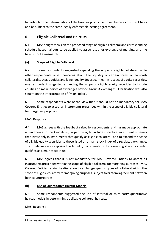In particular, the determination of the broader product set must be on a consistent basis and be subject to the same legally enforceable netting agreement.

# <span id="page-8-0"></span>**6 Eligible Collateral and Haircuts**

6.1 MAS sought views on the proposed range of eligible collateral and corresponding schedule-based haircuts to be applied to assets used for exchange of margins, and the haircut for FX mismatch.

# **(a) Scope of Eligible Collateral**

6.2 Some respondents suggested expanding the scope of eligible collateral, while other respondents raised concerns about the liquidity of certain forms of non-cash collateral such as equities and lower quality debt securities. In respect of equity securities, one respondent suggested expanding the scope of eligible equity securities to include equities on main indices of exchanges beyond Group A exchanges. Clarification was also sought on the interpretation of "main index".

6.3 Some respondents were of the view that it should not be mandatory for MAS Covered Entities to accept all instruments prescribed within the scope of eligible collateral for margining purposes.

# MAS' Response

6.4 MAS agrees with the feedback raised by respondents, and has made appropriate amendments to the Guidelines, in particular, to include collective investment schemes that invest only in instruments that qualify as eligible collateral, and to expand the scope of eligible equity securities to those listed on a main stock index of a regulated exchange. The Guidelines also explains the liquidity considerations for assessing if a stock index qualifies as a main stock index.

6.5 MAS agrees that it is not mandatory for MAS Covered Entities to accept all instruments prescribed within the scope of eligible collateral for margining purposes. MAS Covered Entities retain the discretion to exchange specific types of collateral within the scope of eligible collateral for margining purposes, subject to bilateral agreement between both counterparties.

# **(b) Use of Quantitative Haircut Models**

6.6 Some respondents suggested the use of internal or third-party quantitative haircut models in determining applicable collateral haircuts.

# MAS' Response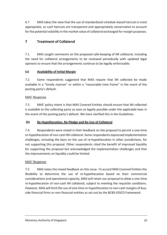6.7 MAS takes the view that the use of standardised schedule-based haircuts is most appropriate, as such haircuts are transparent and appropriately conservative to account for the potential volatility in the market value of collateral exchanged for margin purposes.

# <span id="page-9-0"></span>**7 Treatment of Collateral**

7.1 MAS sought comments on the proposed safe-keeping of IM collateral, including the need for collateral arrangements to be reviewed periodically with updated legal opinions to ensure that the arrangements continue to be legally enforceable.

# **(a) Availability of Initial Margin**

7.2 Some respondents suggested that MAS require that IM collected be made available in a "timely manner" or within a "reasonable time frame" in the event of the posting party's default.

#### MAS' Response

7.3 MAS' policy intent is that MAS Covered Entities should ensure that IM collected is available to the collecting party as soon as legally possible under the applicable laws in the event of the posting party's default. We have clarified this in the Guidelines.

# **(b) Re-Hypothecation, Re-Pledge and Re-Use of Collateral**

7.4 Respondents were mixed in their feedback on the proposal to permit a one-time re-hypothecation of non-cash IM collateral. Some respondents expressed implementation challenges, including the bans on the use of re-hypothecation in other jurisdictions, for not supporting this proposal. Other respondents cited the benefit of improved liquidity for supporting the proposal but acknowledged the implementation challenges and that the improvements on liquidity could be limited.

#### MAS' Response

7.5 MAS notes the mixed feedback on this issue. To accord MAS Covered Entities the flexibility to determine the use of re-hypothecation based on their commercial considerations and operational capacity, MAS will retain our proposal to allow a one-time re-hypothecation of non-cash IM collateral, subject to meeting the requisite conditions. However, MAS will limit the use of one-time re-hypothecation to non-cash margins of buyside financial firms or non-financial entities as set out by the BCBS-IOSCO framework.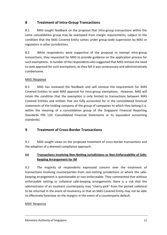# <span id="page-10-0"></span>**8 Treatment of Intra-Group Transactions**

8.1 MAS sought feedback on the proposal that intra-group transactions within the same consolidation group may be exempted from margin requirements, subject to the condition that the MAS Covered Entity comes under group-wide supervision by MAS or regulators in other jurisdictions.

8.2 While respondents were supportive of the proposal to exempt intra-group transactions, they requested for MAS to provide guidance on the application process for such exemptions. A number of the respondents also suggested that MAS remove the need to seek approval for such exemptions, as they felt it was unnecessary and administratively cumbersome.

#### MAS' Response

8.3 MAS has reviewed the feedback and will remove the requirement for MAS Covered Entities to seek MAS approval for intra-group exemptions. However, MAS will retain the condition that the exemption is only limited to transactions between MAS Covered Entities and entities that are fully accounted for in the consolidated financial statements of the holding company of the group of companies to which they belong (i.e. within the meaning of a consolidation group of the Singapore Financial Reporting Standards FRS 110: Consolidated Financial Statements or its equivalent accounting standards).

# <span id="page-10-1"></span>**9 Treatment of Cross-Border Transactions**

9.1 MAS sought views on the proposed treatment of cross-border transactions and the adoption of a deemed compliance approach.

# **(a) Transactions Involving Non-Netting Jurisdictions or Non-Enforceability of Safe-Keeping Arrangement for IM**

9.2 The majority of respondents expressed concern over the treatment of transactions involving counterparties from non-netting jurisdictions or where the safekeeping arrangement is questionable or non-enforceable. They commented that without enforceable netting or collateral safe-keeping arrangements there is a risk that the administrator of an insolvent counterparty may "cherry-pick" from the posted collateral to be returned in the event of insolvency or that an MAS Covered Entity may not be able to effectively foreclose on the margins in the event of a counterparty default.

#### MAS' Response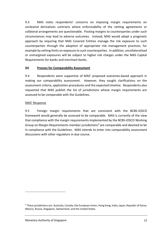9.3 MAS notes respondents' concerns on imposing margin requirements on uncleared derivatives contracts where enforceability of the netting agreements or collateral arrangements are questionable. Posting margins to counterparties under such circumstances may lead to adverse outcomes. Instead, MAS would adopt a pragmatic approach by requiring that MAS Covered Entities manage the risk exposure to such counterparties through the adoption of appropriate risk management practices, for example by setting limits on exposure to such counterparties. In addition, uncollateralised or unmargined exposures will be subject to higher risk charges under the MAS Capital Requirements for banks and merchant banks.

#### **(b) Process for Comparability Assessment**

9.4 Respondents were supportive of MAS' proposed outcomes-based approach in making our comparability assessment. However, they sought clarifications on the assessment criteria, application procedures and the expected timeline. Respondents also requested that MAS publish the list of jurisdictions whose margin requirements are assessed to be comparable with the Guidelines.

#### MAS' Response

9.5 Foreign margin requirements that are consistent with the BCBS-IOSCO framework would generally be assessed to be comparable. MAS is currently of the view that compliance with the margin requirements implemented by the BCBS-IOSCO Working Group on Margin Requirements member jurisdictions<sup>4</sup> are comparable and deemed to be in compliance with the Guidelines. MAS intends to enter into comparability assessment discussions with other regulators in due course.

 $\overline{a}$ 

<sup>4</sup> These jurisdictions are: Australia, Canada, the European Union, Hong Kong, India, Japan, Republic of Korea, Mexico, Russia, Singapore, Switzerland, and the United States.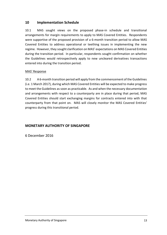# <span id="page-12-0"></span>**10 Implementation Schedule**

10.1 MAS sought views on the proposed phase-in schedule and transitional arrangements for margin requirements to apply to MAS Covered Entities. Respondents were supportive of the proposed provision of a 6-month transition period to allow MAS Covered Entities to address operational or teething issues in implementing the new regime. However, they sought clarification on MAS' expectations on MAS Covered Entities during the transition period. In particular, respondents sought confirmation on whether the Guidelines would retrospectively apply to new uncleared derivatives transactions entered into during the transition period.

#### MAS' Response

10.2 A 6-month transition period will apply from the commencement of the Guidelines (i.e. 1 March 2017), during which MAS Covered Entities will be expected to make progress to meet the Guidelines as soon as practicable. As and when the necessary documentation and arrangements with respect to a counterparty are in place during that period, MAS Covered Entities should start exchanging margins for contracts entered into with that counterparty from that point on. MAS will closely monitor the MAS Covered Entities' progress during this transitional period.

# **MONETARY AUTHORITY OF SINGAPORE**

6 December 2016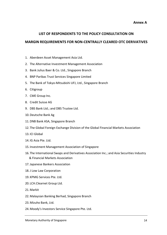#### **LIST OF RESPONDENTS TO THE POLICY CONSULTATION ON**

#### **MARGIN REQUIREMENTS FOR NON-CENTRALLY CLEARED OTC DERIVATIVES**

- 1. Aberdeen Asset Management Asia Ltd.
- 2. The Alternative Investment Management Association
- 3. Bank Julius Baer & Co. Ltd., Singapore Branch
- 4. BNP Paribas Trust Services Singapore Limited
- 5. The Bank of Tokyo-Mitsubishi UFJ, Ltd., Singapore Branch
- 6. Citigroup
- 7. CME Group Inc.
- 8. Credit Suisse AG
- 9. DBS Bank Ltd.; and DBS Trustee Ltd.
- 10.Deutsche Bank Ag
- 11.DNB Bank ASA, Singapore Branch
- 12. The Global Foreign Exchange Division of the Global Financial Markets Association
- 13. ICI Global
- 14. IG Asia Pte. Ltd.
- 15. Investment Management Association of Singapore
- 16. The International Swaps and Derivatives Association Inc.; and Asia Securities Industry & Financial Markets Association
- 17.Japanese Bankers Association
- 18.J Low Law Corporation
- 19.KPMG Services Pte. Ltd.
- 20. LCH.Clearnet Group Ltd.
- 21.Markit
- 22.Malaysian Banking Berhad, Singapore Branch
- 23.Mizuho Bank, Ltd.
- 24.Moody's Investors Service Singapore Pte. Ltd.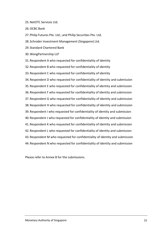- 25.NetOTC Services Ltd.
- 26.OCBC Bank

27.Philip Futures Pte. Ltd.; and Philip Securities Pte. Ltd.

28. Schroder Investment Management (Singapore) Ltd.

- 29. Standard Chartered Bank
- 30.WongPartnership LLP
- 31.Respondent A who requested for confidentiality of identity

32.Respondent B who requested for confidentiality of identity

33.Respondent C who requested for confidentiality of identity

34.Respondent D who requested for confidentiality of identity and submission 35.Respondent E who requested for confidentiality of identity and submission 36.Respondent F who requested for confidentiality of identity and submission 37.Respondent G who requested for confidentiality of identity and submission 38.Respondent H who requested for confidentiality of identity and submission 39.Respondent I who requested for confidentiality of identity and submission 40.Respondent J who requested for confidentiality of identity and submission 41.Respondent K who requested for confidentiality of identity and submission 42.Respondent L who requested for confidentiality of identity and submission 43.Respondent M who requested for confidentiality of identity and submission 44.Respondent N who requested for confidentiality of identity and submission

Please refer to Annex B for the submissions.